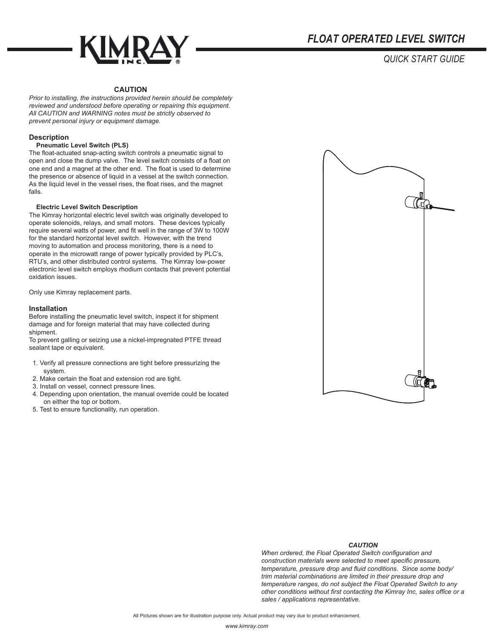

# *QUICK START GUIDE*

# **CAUTION**

*Prior to installing, the instructions provided herein should be completely reviewed and understood before operating or repairing this equipment. All CAUTION and WARNING notes must be strictly observed to prevent personal injury or equipment damage.*

## **Description**

# **Pneumatic Level Switch (PLS)**

The float-actuated snap-acting switch controls a pneumatic signal to open and close the dump valve. The level switch consists of a float on one end and a magnet at the other end. The float is used to determine the presence or absence of liquid in a vessel at the switch connection. As the liquid level in the vessel rises, the float rises, and the magnet falls.

#### **Electric Level Switch Description**

The Kimray horizontal electric level switch was originally developed to operate solenoids, relays, and small motors. These devices typically require several watts of power, and fit well in the range of 3W to 100W for the standard horizontal level switch. However, with the trend moving to automation and process monitoring, there is a need to operate in the microwatt range of power typically provided by PLC's, RTU's, and other distributed control systems. The Kimray low-power electronic level switch employs rhodium contacts that prevent potential oxidation issues.

Only use Kimray replacement parts.

#### **Installation**

Before installing the pneumatic level switch, inspect it for shipment damage and for foreign material that may have collected during shipment.

To prevent galling or seizing use a nickel-impregnated PTFE thread sealant tape or equivalent.

- 1. Verify all pressure connections are tight before pressurizing the system.
- 2. Make certain the float and extension rod are tight.
- 3. Install on vessel, connect pressure lines.
- 4. Depending upon orientation, the manual override could be located on either the top or bottom.
- 5. Test to ensure functionality, run operation.



### *CAUTION*

*When ordered, the Float Operated Switch configuration and construction materials were selected to meet specific pressure, temperature, pressure drop and fluid conditions. Since some body/ trim material combinations are limited in their pressure drop and temperature ranges, do not subject the Float Operated Switch to any other conditions without first contacting the Kimray Inc, sales office or a sales / applications representative.*

All Pictures shown are for illustration purpose only. Actual product may vary due to product enhancement.